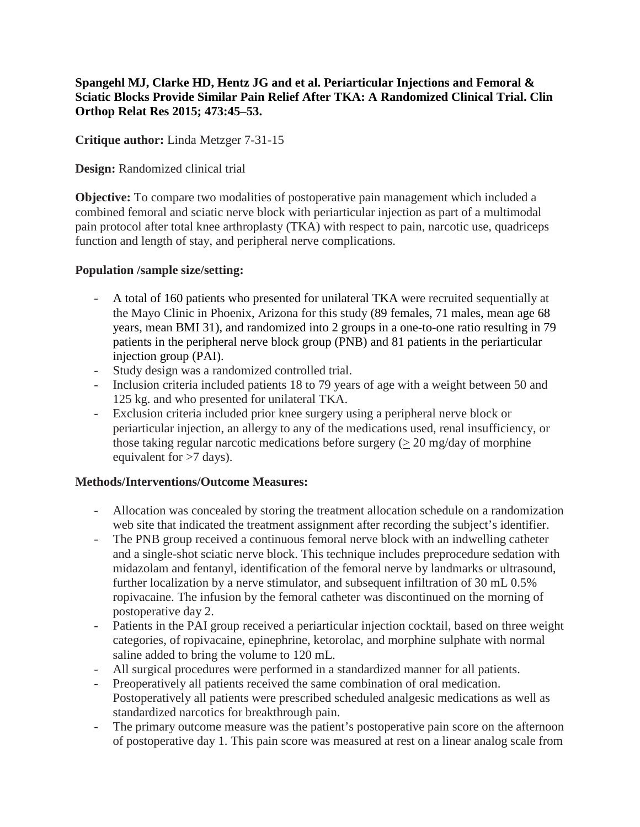**Spangehl MJ, Clarke HD, Hentz JG and et al. Periarticular Injections and Femoral & Sciatic Blocks Provide Similar Pain Relief After TKA: A Randomized Clinical Trial. Clin Orthop Relat Res 2015; 473:45–53.**

**Critique author:** Linda Metzger 7-31-15

## **Design:** Randomized clinical trial

**Objective:** To compare two modalities of postoperative pain management which included a combined femoral and sciatic nerve block with periarticular injection as part of a multimodal pain protocol after total knee arthroplasty (TKA) with respect to pain, narcotic use, quadriceps function and length of stay, and peripheral nerve complications.

## **Population /sample size/setting:**

- A total of 160 patients who presented for unilateral TKA were recruited sequentially at the Mayo Clinic in Phoenix, Arizona for this study (89 females, 71 males, mean age 68 years, mean BMI 31), and randomized into 2 groups in a one-to-one ratio resulting in 79 patients in the peripheral nerve block group (PNB) and 81 patients in the periarticular injection group (PAI).
- Study design was a randomized controlled trial.
- Inclusion criteria included patients 18 to 79 years of age with a weight between 50 and 125 kg. and who presented for unilateral TKA.
- Exclusion criteria included prior knee surgery using a peripheral nerve block or periarticular injection, an allergy to any of the medications used, renal insufficiency, or those taking regular narcotic medications before surgery  $(> 20 \text{ mg/day of morphine})$ equivalent for >7 days).

# **Methods/Interventions/Outcome Measures:**

- Allocation was concealed by storing the treatment allocation schedule on a randomization web site that indicated the treatment assignment after recording the subject's identifier.
- The PNB group received a continuous femoral nerve block with an indwelling catheter and a single-shot sciatic nerve block. This technique includes preprocedure sedation with midazolam and fentanyl, identification of the femoral nerve by landmarks or ultrasound, further localization by a nerve stimulator, and subsequent infiltration of 30 mL 0.5% ropivacaine. The infusion by the femoral catheter was discontinued on the morning of postoperative day 2.
- Patients in the PAI group received a periarticular injection cocktail, based on three weight categories, of ropivacaine, epinephrine, ketorolac, and morphine sulphate with normal saline added to bring the volume to 120 mL.
- All surgical procedures were performed in a standardized manner for all patients.
- Preoperatively all patients received the same combination of oral medication. Postoperatively all patients were prescribed scheduled analgesic medications as well as standardized narcotics for breakthrough pain.
- The primary outcome measure was the patient's postoperative pain score on the afternoon of postoperative day 1. This pain score was measured at rest on a linear analog scale from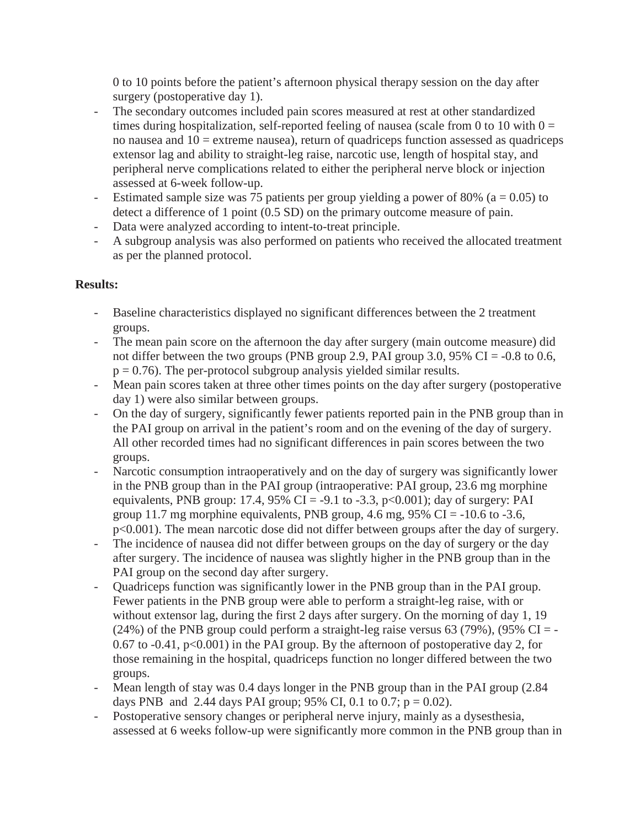0 to 10 points before the patient's afternoon physical therapy session on the day after surgery (postoperative day 1).

- The secondary outcomes included pain scores measured at rest at other standardized times during hospitalization, self-reported feeling of nausea (scale from 0 to 10 with  $0 =$ no nausea and  $10 =$  extreme nausea), return of quadriceps function assessed as quadriceps extensor lag and ability to straight-leg raise, narcotic use, length of hospital stay, and peripheral nerve complications related to either the peripheral nerve block or injection assessed at 6-week follow-up.
- Estimated sample size was 75 patients per group yielding a power of 80% ( $a = 0.05$ ) to detect a difference of 1 point (0.5 SD) on the primary outcome measure of pain.
- Data were analyzed according to intent-to-treat principle.
- A subgroup analysis was also performed on patients who received the allocated treatment as per the planned protocol.

# **Results:**

- Baseline characteristics displayed no significant differences between the 2 treatment groups.
- The mean pain score on the afternoon the day after surgery (main outcome measure) did not differ between the two groups (PNB group 2.9, PAI group 3.0,  $95\%$  CI = -0.8 to 0.6,  $p = 0.76$ ). The per-protocol subgroup analysis yielded similar results.
- Mean pain scores taken at three other times points on the day after surgery (postoperative day 1) were also similar between groups.
- On the day of surgery, significantly fewer patients reported pain in the PNB group than in the PAI group on arrival in the patient's room and on the evening of the day of surgery. All other recorded times had no significant differences in pain scores between the two groups.
- Narcotic consumption intraoperatively and on the day of surgery was significantly lower in the PNB group than in the PAI group (intraoperative: PAI group, 23.6 mg morphine equivalents, PNB group: 17.4, 95% CI = -9.1 to -3.3, p<0.001); day of surgery: PAI group 11.7 mg morphine equivalents, PNB group, 4.6 mg,  $95\%$  CI = -10.6 to -3.6, p<0.001). The mean narcotic dose did not differ between groups after the day of surgery.
- The incidence of nausea did not differ between groups on the day of surgery or the day after surgery. The incidence of nausea was slightly higher in the PNB group than in the PAI group on the second day after surgery.
- Quadriceps function was significantly lower in the PNB group than in the PAI group. Fewer patients in the PNB group were able to perform a straight-leg raise, with or without extensor lag, during the first 2 days after surgery. On the morning of day 1, 19 (24%) of the PNB group could perform a straight-leg raise versus 63 (79%), (95% CI = -0.67 to  $-0.41$ ,  $p<0.001$ ) in the PAI group. By the afternoon of postoperative day 2, for those remaining in the hospital, quadriceps function no longer differed between the two groups.
- Mean length of stay was 0.4 days longer in the PNB group than in the PAI group (2.84) days PNB and 2.44 days PAI group; 95% CI, 0.1 to 0.7;  $p = 0.02$ ).
- Postoperative sensory changes or peripheral nerve injury, mainly as a dysesthesia, assessed at 6 weeks follow-up were significantly more common in the PNB group than in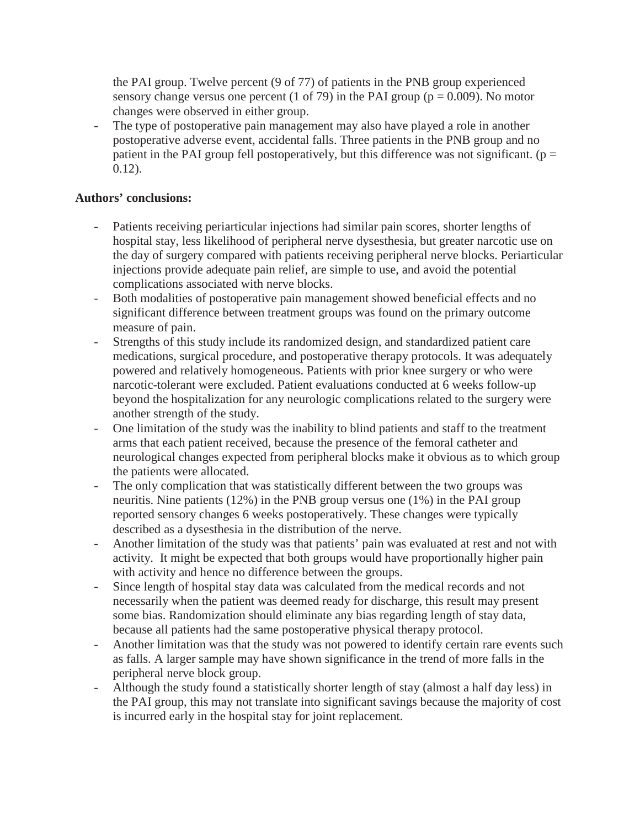the PAI group. Twelve percent (9 of 77) of patients in the PNB group experienced sensory change versus one percent (1 of 79) in the PAI group ( $p = 0.009$ ). No motor changes were observed in either group.

The type of postoperative pain management may also have played a role in another postoperative adverse event, accidental falls. Three patients in the PNB group and no patient in the PAI group fell postoperatively, but this difference was not significant. ( $p =$ 0.12).

### **Authors' conclusions:**

- Patients receiving periarticular injections had similar pain scores, shorter lengths of hospital stay, less likelihood of peripheral nerve dysesthesia, but greater narcotic use on the day of surgery compared with patients receiving peripheral nerve blocks. Periarticular injections provide adequate pain relief, are simple to use, and avoid the potential complications associated with nerve blocks.
- Both modalities of postoperative pain management showed beneficial effects and no significant difference between treatment groups was found on the primary outcome measure of pain.
- Strengths of this study include its randomized design, and standardized patient care medications, surgical procedure, and postoperative therapy protocols. It was adequately powered and relatively homogeneous. Patients with prior knee surgery or who were narcotic-tolerant were excluded. Patient evaluations conducted at 6 weeks follow-up beyond the hospitalization for any neurologic complications related to the surgery were another strength of the study.
- One limitation of the study was the inability to blind patients and staff to the treatment arms that each patient received, because the presence of the femoral catheter and neurological changes expected from peripheral blocks make it obvious as to which group the patients were allocated.
- The only complication that was statistically different between the two groups was neuritis. Nine patients (12%) in the PNB group versus one (1%) in the PAI group reported sensory changes 6 weeks postoperatively. These changes were typically described as a dysesthesia in the distribution of the nerve.
- Another limitation of the study was that patients' pain was evaluated at rest and not with activity. It might be expected that both groups would have proportionally higher pain with activity and hence no difference between the groups.
- Since length of hospital stay data was calculated from the medical records and not necessarily when the patient was deemed ready for discharge, this result may present some bias. Randomization should eliminate any bias regarding length of stay data, because all patients had the same postoperative physical therapy protocol.
- Another limitation was that the study was not powered to identify certain rare events such as falls. A larger sample may have shown significance in the trend of more falls in the peripheral nerve block group.
- Although the study found a statistically shorter length of stay (almost a half day less) in the PAI group, this may not translate into significant savings because the majority of cost is incurred early in the hospital stay for joint replacement.